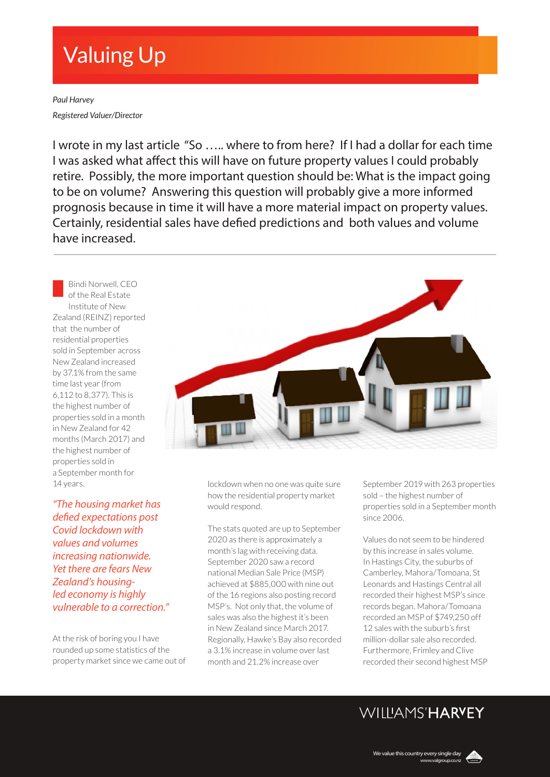# Valuing Up

*Paul Harvey Registered Valuer/Director*

I wrote in my last article "So ….. where to from here? If I had a dollar for each time I was asked what affect this will have on future property values I could probably retire. Possibly, the more important question should be: What is the impact going to be on volume? Answering this question will probably give a more informed prognosis because in time it will have a more material impact on property values. Certainly, residential sales have defied predictions and both values and volume have increased.

Bindi Norwell, CEO of the Real Estate Institute of New Zealand (REINZ) reported that the number of residential properties sold in September across New Zealand increased by 37.1% from the same time last year (from 6,112 to 8,377). This is the highest number of properties sold in a month in New Zealand for 42 months (March 2017) and the highest number of properties sold in a September month for 14 years.

*"The housing market has defied expectations post Covid lockdown with values and volumes increasing nationwide. Yet there are fears New Zealand's housingled economy is highly vulnerable to a correction."*

At the risk of boring you I have rounded up some statistics of the property market since we came out of



lockdown when no one was quite sure how the residential property market would respond.

The stats quoted are up to September 2020 as there is approximately a month's lag with receiving data. September 2020 saw a record national Median Sale Price (MSP) achieved at \$885,000 with nine out of the 16 regions also posting record MSP's. Not only that, the volume of sales was also the highest it's been in New Zealand since March 2017. Regionally, Hawke's Bay also recorded a 3.1% increase in volume over last month and 21.2% increase over

September 2019 with 263 properties sold – the highest number of properties sold in a September month since 2006.

Values do not seem to be hindered by this increase in sales volume. In Hastings City, the suburbs of Camberley, Mahora/Tomoana, St Leonards and Hastings Central all recorded their highest MSP's since records began. Mahora/Tomoana recorded an MSP of \$749,250 off 12 sales with the suburb's first million-dollar sale also recorded. Furthermore, Frimley and Clive recorded their second highest MSP